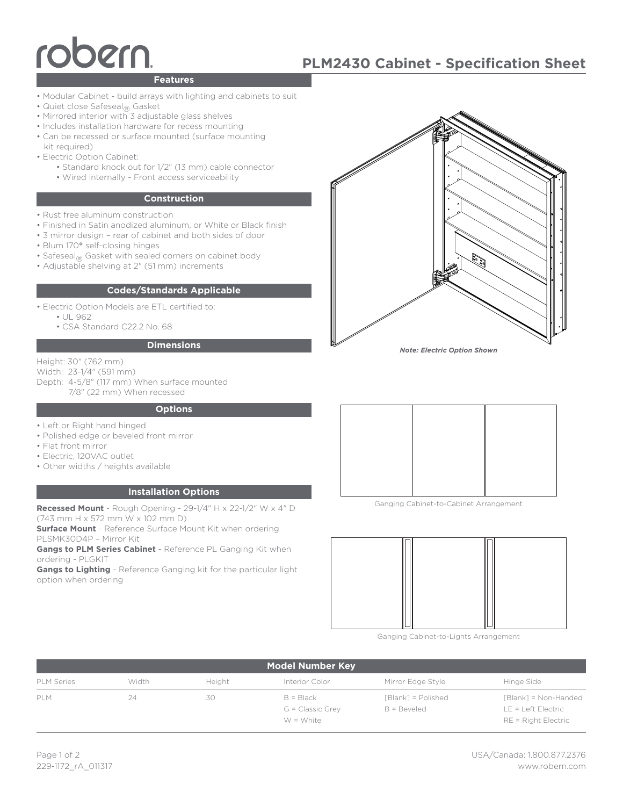# bern

# **PLM2430 Cabinet - Specification Sheet**

### **Features**

- Modular Cabinet build arrays with lighting and cabinets to suit
- Quiet close Safeseal<sub>®</sub> Gasket
- Mirrored interior with 3 adjustable glass shelves
- Includes installation hardware for recess mounting
- Can be recessed or surface mounted (surface mounting kit required)
- Electric Option Cabinet:
	- Standard knock out for 1/2" (13 mm) cable connector
	- Wired internally Front access serviceability

#### **Construction**

- Rust free aluminum construction
- Finished in Satin anodized aluminum, or White or Black finish
- 3 mirror design rear of cabinet and both sides of door
- Blum 170**°** self-closing hinges
- Safeseal<sub>®</sub> Gasket with sealed corners on cabinet body
- Adjustable shelving at 2" (51 mm) increments

#### **Codes/Standards Applicable**

• Electric Option Models are ETL certified to:

- UL 962
- CSA Standard C22.2 No. 68

#### **Dimensions**

Height: 30" (762 mm)

Width: 23-1/4" (591 mm)

Depth: 4-5/8" (117 mm) When surface mounted 7/8" (22 mm) When recessed

#### **Options**

- Left or Right hand hinged
- Polished edge or beveled front mirror
- Flat front mirror
- Electric, 120VAC outlet
- Other widths / heights available

#### **Installation Options**

**Recessed Mount** - Rough Opening - 29-1/4" H x 22-1/2" W x 4" D (743 mm H x 572 mm W x 102 mm D)

**Surface Mount** - Reference Surface Mount Kit when ordering PLSMK30D4P – Mirror Kit

**Gangs to PLM Series Cabinet** - Reference PL Ganging Kit when ordering - PLGKIT

**Gangs to Lighting** - Reference Ganging kit for the particular light option when ordering



*Note: Electric Option Shown*



Ganging Cabinet-to-Cabinet Arrangement



Ganging Cabinet-to-Lights Arrangement

| <b>Model Number Key</b> |       |        |                                              |                                       |                                                                       |
|-------------------------|-------|--------|----------------------------------------------|---------------------------------------|-----------------------------------------------------------------------|
| <b>PLM Series</b>       | Width | Height | Interior Color                               | Mirror Edge Style                     | Hinge Side                                                            |
| PI M                    | 24    | 30     | $B = Black$<br>G = Classic Grey<br>W = White | $[Blank] = Polished$<br>$B = Beveled$ | [Blank] = Non-Handed<br>$LE = Left Electric$<br>$RE = Right Electric$ |